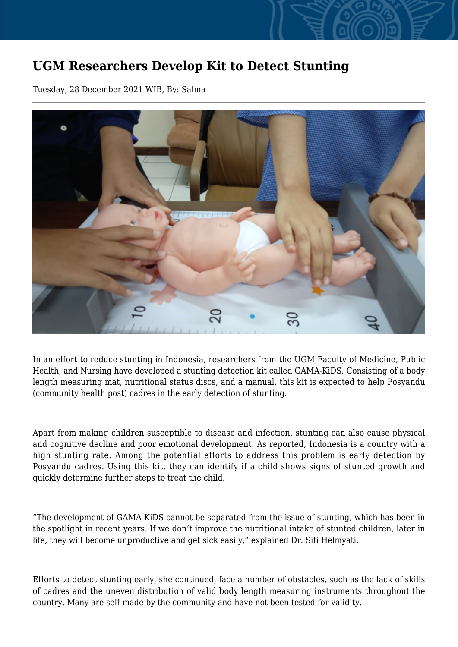## **UGM Researchers Develop Kit to Detect Stunting**

Tuesday, 28 December 2021 WIB, By: Salma



In an effort to reduce stunting in Indonesia, researchers from the UGM Faculty of Medicine, Public Health, and Nursing have developed a stunting detection kit called GAMA-KiDS. Consisting of a body length measuring mat, nutritional status discs, and a manual, this kit is expected to help Posyandu (community health post) cadres in the early detection of stunting.

Apart from making children susceptible to disease and infection, stunting can also cause physical and cognitive decline and poor emotional development. As reported, Indonesia is a country with a high stunting rate. Among the potential efforts to address this problem is early detection by Posyandu cadres. Using this kit, they can identify if a child shows signs of stunted growth and quickly determine further steps to treat the child.

"The development of GAMA-KiDS cannot be separated from the issue of stunting, which has been in the spotlight in recent years. If we don't improve the nutritional intake of stunted children, later in life, they will become unproductive and get sick easily," explained Dr. Siti Helmyati.

Efforts to detect stunting early, she continued, face a number of obstacles, such as the lack of skills of cadres and the uneven distribution of valid body length measuring instruments throughout the country. Many are self-made by the community and have not been tested for validity.